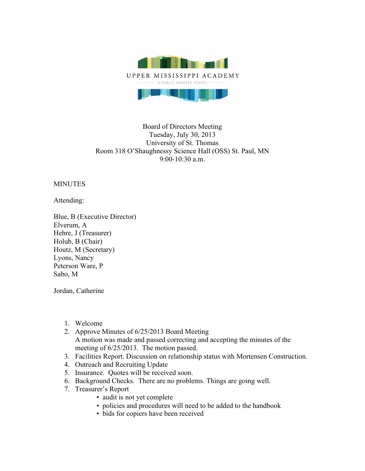

## Board of Directors Meeting Tuesday, July 30, 2013 University of St. Thomas Room 318 O'Shaughnessy Science Hall (OSS) St. Paul, MN 9:00-10:30 a.m.

## **MINUTES**

Attending:

Blue, B (Executive Director) Elverum, A Hehre, J (Treasurer) Holub, B (Chair) Houtz, M (Secretary) Lyons, Nancy Peterson Ware, P Sabo, M

Jordan, Catherine

- 1. Welcome
- 2. Approve Minutes of 6/25/2013 Board Meeting A motion was made and passed correcting and accepting the minutes of the meeting of 6/25/2013. The motion passed.
- 3. Facilities Report. Discussion on relationship status with Mortensen Construction.
- 4. Outreach and Recruiting Update
- 5. Insurance. Quotes will be received soon.
- 6. Background Checks. There are no problems. Things are going well.
- 7. Treasurer's Report
	- audit is not yet complete
	- policies and procedures will need to be added to the handbook
	- bids for copiers have been received